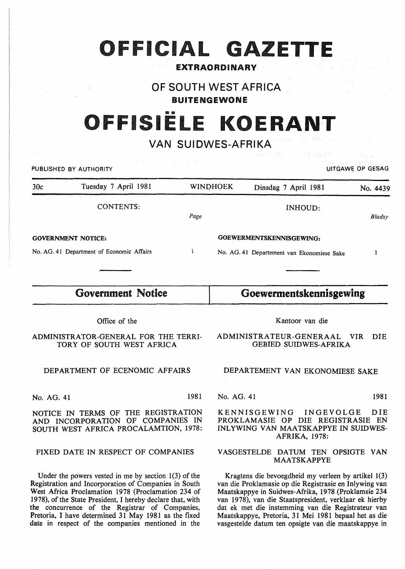# OFFICIAL GAZETI

### EXTRAORDINARY

OF SOUTH WEST AFRICA

### BUITENGEWONE

# OFFISIËLE KOERANT

VAN SUIDWES-AFRIKA

| 的复数医生物 医单位 医粒子体<br>PUBLISHED BY AUTHORITY                         |                                           |      |                                                                        | AN SERIES AN ARTICLE IN THE TREAT<br>UITGAWE OP GESAG |          |  |
|-------------------------------------------------------------------|-------------------------------------------|------|------------------------------------------------------------------------|-------------------------------------------------------|----------|--|
| 30c                                                               | Tuesday 7 April 1981                      |      | <b>WINDHOEK</b>                                                        | Dinsdag 7 April 1981                                  | No. 4439 |  |
|                                                                   | <b>CONTENTS:</b>                          | Page |                                                                        | INHOUD:                                               | Bladsy   |  |
| <b>GOVERNMENT NOTICE:</b>                                         |                                           |      | GOEWERMENTSKENNISGEWING:                                               |                                                       |          |  |
|                                                                   | No. AG. 41 Department of Economic Affairs | 1    |                                                                        | No. AG. 41 Departement van Ekonomiese Sake            |          |  |
|                                                                   |                                           |      |                                                                        |                                                       |          |  |
| <b>Government Notice</b>                                          |                                           |      | Goewermentskennisgewing                                                |                                                       |          |  |
| Office of the                                                     |                                           |      | Kantoor van die                                                        |                                                       |          |  |
| ADMINISTRATOR-GENERAL FOR THE TERRI-<br>TORY OF SOUTH WEST AFRICA |                                           |      | ADMINISTRATEUR-GENERAAL<br>VIR.<br><b>DIE</b><br>GEBIED SUIDWES-AFRIKA |                                                       |          |  |

#### DEPARTMENT OF ECENOMIC AFFAIRS

No. AG. 41 1981

NOTICE IN TERMS OF THE REGISTRATION AND INCORPORATION OF COMPANIES IN SOUTH WEST AFRICA PROCALAMTION, 1978:

#### FIXED DATE IN RESPECT OF COMPANIES

Under the powers vested in me by section 1(3) of the Registration and Incorporation of Companies in South West Africa Proclamation 1978 (Proclamation 234 of 1978), of the State President, I hereby declare that, with the concurrence of the Registrar of Companies, Pretoria, I have determined 31 May 1981 as the fixed date in respect of the companies mentioned in the

GEBIED SUIDWES-AFRIKA

ANTEX CALCUMBAN

#### DEPARTEMENT VAN EKONOMIESE SAKE

No. AG. 41 1981

KENNISGEWING INGEVOLGE DIE PROKLAMASIE OP DIE REGISTRASIE EN INLYWING VAN MAATSKAPPYE IN SUIDWES-AFRIKA, 1978:

#### V ASGESTELDE DATUM TEN OPSIGTE VAN MAATSKAPPYE

Kragtens die bevoegdheid my verleen by artikel 1(3) van die Proklamasie op die Registrasie en Inlywing van Maatskappye in Suidwes-Afrika, 1978 (Proklamsie 234 van 1978), van die Staatspresident, verklaar ek hierby dat ek met die instemming van die Registrateur van Maatskappye, Pretoria, 31 Mei 1981 bepaal het as die vasgestelde datum ten opsigte van die maatskappye in